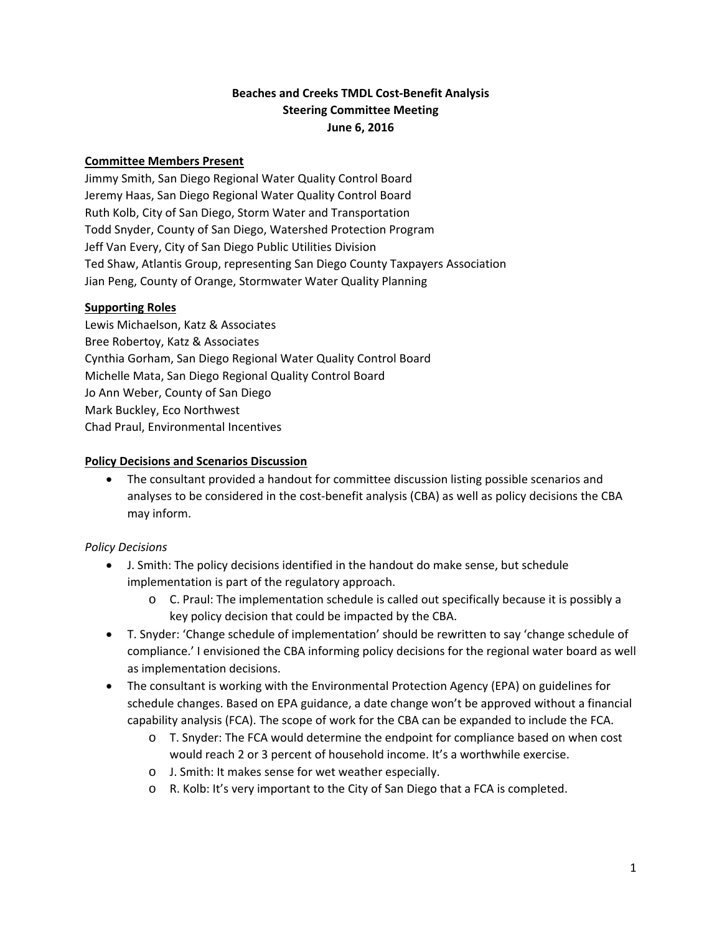# **Beaches and Creeks TMDL Cost‐Benefit Analysis Steering Committee Meeting June 6, 2016**

### **Committee Members Present**

Jimmy Smith, San Diego Regional Water Quality Control Board Jeremy Haas, San Diego Regional Water Quality Control Board Ruth Kolb, City of San Diego, Storm Water and Transportation Todd Snyder, County of San Diego, Watershed Protection Program Jeff Van Every, City of San Diego Public Utilities Division Ted Shaw, Atlantis Group, representing San Diego County Taxpayers Association Jian Peng, County of Orange, Stormwater Water Quality Planning

#### **Supporting Roles**

Lewis Michaelson, Katz & Associates Bree Robertoy, Katz & Associates Cynthia Gorham, San Diego Regional Water Quality Control Board Michelle Mata, San Diego Regional Quality Control Board Jo Ann Weber, County of San Diego Mark Buckley, Eco Northwest Chad Praul, Environmental Incentives

#### **Policy Decisions and Scenarios Discussion**

• The consultant provided a handout for committee discussion listing possible scenarios and analyses to be considered in the cost-benefit analysis (CBA) as well as policy decisions the CBA may inform.

# *Policy Decisions*

- J. Smith: The policy decisions identified in the handout do make sense, but schedule implementation is part of the regulatory approach.
	- o C. Praul: The implementation schedule is called out specifically because it is possibly a key policy decision that could be impacted by the CBA.
- T. Snyder: 'Change schedule of implementation' should be rewritten to say 'change schedule of compliance.' I envisioned the CBA informing policy decisions for the regional water board as well as implementation decisions.
- The consultant is working with the Environmental Protection Agency (EPA) on guidelines for schedule changes. Based on EPA guidance, a date change won't be approved without a financial capability analysis (FCA). The scope of work for the CBA can be expanded to include the FCA.
	- o T. Snyder: The FCA would determine the endpoint for compliance based on when cost would reach 2 or 3 percent of household income. It's a worthwhile exercise.
	- o J. Smith: It makes sense for wet weather especially.
	- o R. Kolb: It's very important to the City of San Diego that a FCA is completed.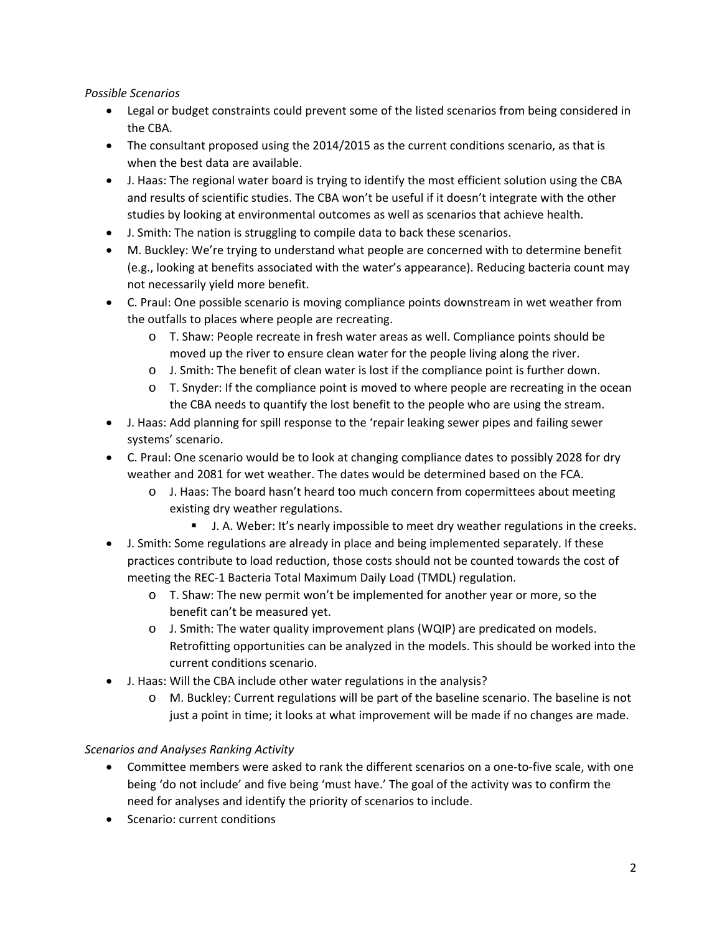# *Possible Scenarios*

- Legal or budget constraints could prevent some of the listed scenarios from being considered in the CBA.
- The consultant proposed using the 2014/2015 as the current conditions scenario, as that is when the best data are available.
- J. Haas: The regional water board is trying to identify the most efficient solution using the CBA and results of scientific studies. The CBA won't be useful if it doesn't integrate with the other studies by looking at environmental outcomes as well as scenarios that achieve health.
- J. Smith: The nation is struggling to compile data to back these scenarios.
- M. Buckley: We're trying to understand what people are concerned with to determine benefit (e.g., looking at benefits associated with the water's appearance). Reducing bacteria count may not necessarily yield more benefit.
- C. Praul: One possible scenario is moving compliance points downstream in wet weather from the outfalls to places where people are recreating.
	- o T. Shaw: People recreate in fresh water areas as well. Compliance points should be moved up the river to ensure clean water for the people living along the river.
	- o J. Smith: The benefit of clean water is lost if the compliance point is further down.
	- o T. Snyder: If the compliance point is moved to where people are recreating in the ocean the CBA needs to quantify the lost benefit to the people who are using the stream.
- J. Haas: Add planning for spill response to the 'repair leaking sewer pipes and failing sewer systems' scenario.
- C. Praul: One scenario would be to look at changing compliance dates to possibly 2028 for dry weather and 2081 for wet weather. The dates would be determined based on the FCA.
	- o J. Haas: The board hasn't heard too much concern from copermittees about meeting existing dry weather regulations.
		- J. A. Weber: It's nearly impossible to meet dry weather regulations in the creeks.
- J. Smith: Some regulations are already in place and being implemented separately. If these practices contribute to load reduction, those costs should not be counted towards the cost of meeting the REC‐1 Bacteria Total Maximum Daily Load (TMDL) regulation.
	- o T. Shaw: The new permit won't be implemented for another year or more, so the benefit can't be measured yet.
	- o J. Smith: The water quality improvement plans (WQIP) are predicated on models. Retrofitting opportunities can be analyzed in the models. This should be worked into the current conditions scenario.
- J. Haas: Will the CBA include other water regulations in the analysis?
	- o M. Buckley: Current regulations will be part of the baseline scenario. The baseline is not just a point in time; it looks at what improvement will be made if no changes are made.

# *Scenarios and Analyses Ranking Activity*

- Committee members were asked to rank the different scenarios on a one-to-five scale, with one being 'do not include' and five being 'must have.' The goal of the activity was to confirm the need for analyses and identify the priority of scenarios to include.
- Scenario: current conditions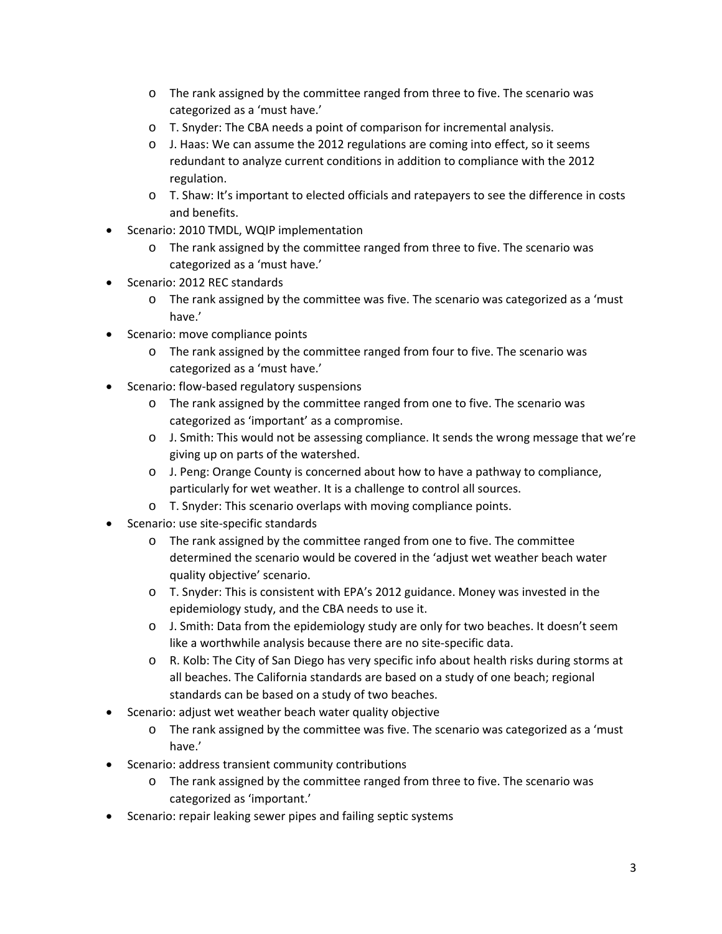- o The rank assigned by the committee ranged from three to five. The scenario was categorized as a 'must have.'
- o T. Snyder: The CBA needs a point of comparison for incremental analysis.
- $\circ$  J. Haas: We can assume the 2012 regulations are coming into effect, so it seems redundant to analyze current conditions in addition to compliance with the 2012 regulation.
- o T. Shaw: It's important to elected officials and ratepayers to see the difference in costs and benefits.
- Scenario: 2010 TMDL, WQIP implementation
	- o The rank assigned by the committee ranged from three to five. The scenario was categorized as a 'must have.'
- Scenario: 2012 REC standards
	- o The rank assigned by the committee was five. The scenario was categorized as a 'must have.'
- Scenario: move compliance points
	- o The rank assigned by the committee ranged from four to five. The scenario was categorized as a 'must have.'
- Scenario: flow‐based regulatory suspensions
	- o The rank assigned by the committee ranged from one to five. The scenario was categorized as 'important' as a compromise.
	- o J. Smith: This would not be assessing compliance. It sends the wrong message that we're giving up on parts of the watershed.
	- o J. Peng: Orange County is concerned about how to have a pathway to compliance, particularly for wet weather. It is a challenge to control all sources.
	- o T. Snyder: This scenario overlaps with moving compliance points.
- Scenario: use site‐specific standards
	- o The rank assigned by the committee ranged from one to five. The committee determined the scenario would be covered in the 'adjust wet weather beach water quality objective' scenario.
	- o T. Snyder: This is consistent with EPA's 2012 guidance. Money was invested in the epidemiology study, and the CBA needs to use it.
	- o J. Smith: Data from the epidemiology study are only for two beaches. It doesn't seem like a worthwhile analysis because there are no site‐specific data.
	- o R. Kolb: The City of San Diego has very specific info about health risks during storms at all beaches. The California standards are based on a study of one beach; regional standards can be based on a study of two beaches.
- Scenario: adjust wet weather beach water quality objective
	- o The rank assigned by the committee was five. The scenario was categorized as a 'must have.'
- Scenario: address transient community contributions
	- o The rank assigned by the committee ranged from three to five. The scenario was categorized as 'important.'
- Scenario: repair leaking sewer pipes and failing septic systems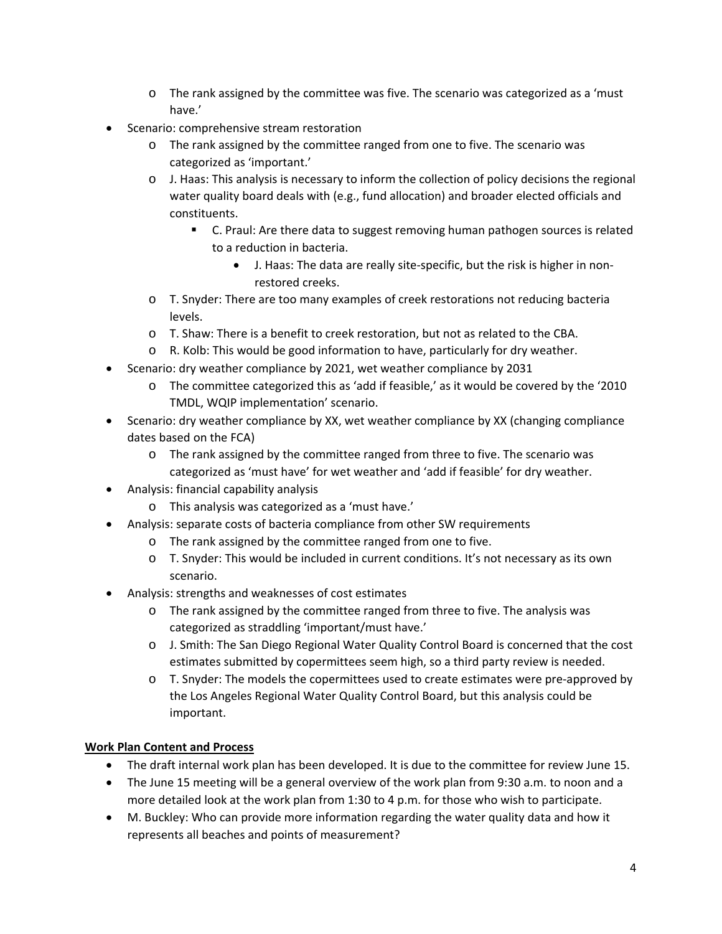- o The rank assigned by the committee was five. The scenario was categorized as a 'must have.'
- Scenario: comprehensive stream restoration
	- o The rank assigned by the committee ranged from one to five. The scenario was categorized as 'important.'
	- o J. Haas: This analysis is necessary to inform the collection of policy decisions the regional water quality board deals with (e.g., fund allocation) and broader elected officials and constituents.
		- C. Praul: Are there data to suggest removing human pathogen sources is related to a reduction in bacteria.
			- J. Haas: The data are really site-specific, but the risk is higher in nonrestored creeks.
	- o T. Snyder: There are too many examples of creek restorations not reducing bacteria levels.
	- o T. Shaw: There is a benefit to creek restoration, but not as related to the CBA.
	- o R. Kolb: This would be good information to have, particularly for dry weather.
- Scenario: dry weather compliance by 2021, wet weather compliance by 2031
	- o The committee categorized this as 'add if feasible,' as it would be covered by the '2010 TMDL, WQIP implementation' scenario.
- Scenario: dry weather compliance by XX, wet weather compliance by XX (changing compliance dates based on the FCA)
	- o The rank assigned by the committee ranged from three to five. The scenario was categorized as 'must have' for wet weather and 'add if feasible' for dry weather.
- Analysis: financial capability analysis
	- o This analysis was categorized as a 'must have.'
- Analysis: separate costs of bacteria compliance from other SW requirements
	- o The rank assigned by the committee ranged from one to five.
	- o T. Snyder: This would be included in current conditions. It's not necessary as its own scenario.
- Analysis: strengths and weaknesses of cost estimates
	- o The rank assigned by the committee ranged from three to five. The analysis was categorized as straddling 'important/must have.'
	- o J. Smith: The San Diego Regional Water Quality Control Board is concerned that the cost estimates submitted by copermittees seem high, so a third party review is needed.
	- o T. Snyder: The models the copermittees used to create estimates were pre‐approved by the Los Angeles Regional Water Quality Control Board, but this analysis could be important.

# **Work Plan Content and Process**

- The draft internal work plan has been developed. It is due to the committee for review June 15.
- The June 15 meeting will be a general overview of the work plan from 9:30 a.m. to noon and a more detailed look at the work plan from 1:30 to 4 p.m. for those who wish to participate.
- M. Buckley: Who can provide more information regarding the water quality data and how it represents all beaches and points of measurement?